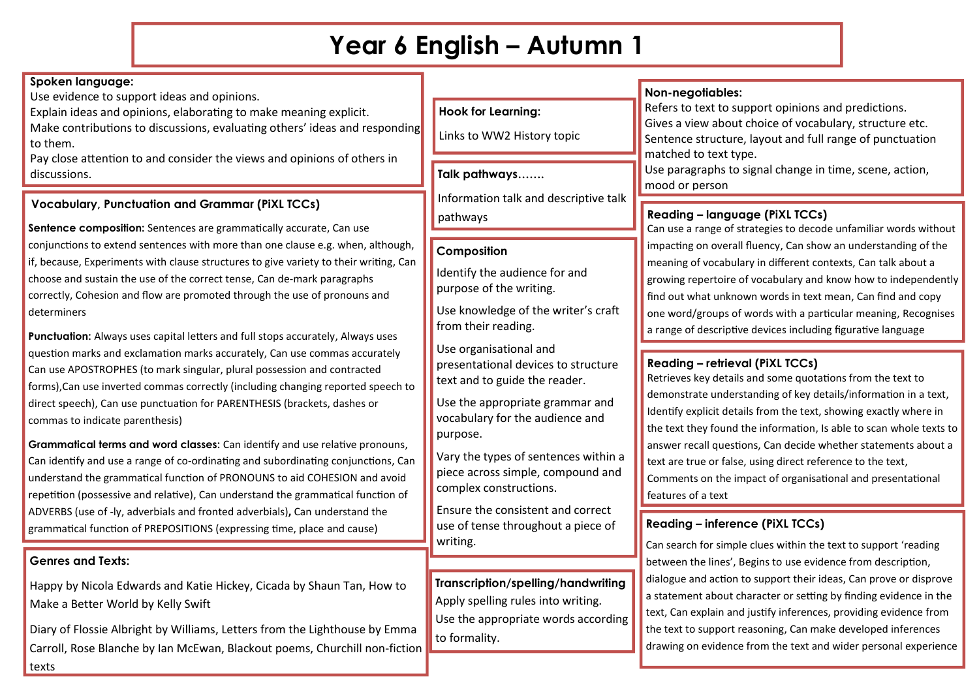# **Year 6 English – Autumn 1**

# **Spoken language:**

Use evidence to support ideas and opinions.

Explain ideas and opinions, elaborating to make meaning explicit. Make contributions to discussions, evaluating others' ideas and responding to them.

Pay close attention to and consider the views and opinions of others in discussions. **Talk pathways…….**

# **Vocabulary, Punctuation and Grammar (PiXL TCCs)**

Sentence composition: Sentences are grammatically accurate, Can use conjunctions to extend sentences with more than one clause e.g. when, although, if, because, Experiments with clause structures to give variety to their writing, Can choose and sustain the use of the correct tense, Can de-mark paragraphs correctly, Cohesion and flow are promoted through the use of pronouns and determiners

**Punctuation:** Always uses capital letters and full stops accurately, Always uses question marks and exclamation marks accurately, Can use commas accurately Can use APOSTROPHES (to mark singular, plural possession and contracted forms),Can use inverted commas correctly (including changing reported speech to direct speech), Can use punctuation for PARENTHESIS (brackets, dashes or commas to indicate parenthesis)

**Grammatical terms and word classes:** Can identify and use relative pronouns, Can identify and use a range of co-ordinating and subordinating conjunctions, Can understand the grammatical function of PRONOUNS to aid COHESION and avoid repetition (possessive and relative), Can understand the grammatical function of ADVERBS (use of -ly, adverbials and fronted adverbials)**,** Can understand the grammatical function of PREPOSITIONS (expressing time, place and cause)

# **Genres and Texts:**

Happy by Nicola Edwards and Katie Hickey, Cicada by Shaun Tan, How to Make a Better World by Kelly Swift

Diary of Flossie Albright by Williams, Letters from the Lighthouse by Emma Carroll, Rose Blanche by Ian McEwan, Blackout poems, Churchill non-fiction texts

# **Hook for Learning:**

Links to WW2 History topic

Information talk and descriptive talk pathways

# **Composition**

Identify the audience for and purpose of the writing.

Use knowledge of the writer's craft from their reading.

Use organisational and presentational devices to structure text and to guide the reader.

Use the appropriate grammar and vocabulary for the audience and purpose.

Vary the types of sentences within a piece across simple, compound and complex constructions.

Ensure the consistent and correct use of tense throughout a piece of writing.

**Transcription/spelling/handwriting** Apply spelling rules into writing. Use the appropriate words according to formality.

# **Non-negotiables:**

Refers to text to support opinions and predictions. Gives a view about choice of vocabulary, structure etc. Sentence structure, layout and full range of punctuation matched to text type.

Use paragraphs to signal change in time, scene, action, mood or person

# **Reading – language (PiXL TCCs)**

Can use a range of strategies to decode unfamiliar words without impacting on overall fluency, Can show an understanding of the meaning of vocabulary in different contexts, Can talk about a growing repertoire of vocabulary and know how to independently find out what unknown words in text mean, Can find and copy one word/groups of words with a particular meaning, Recognises a range of descriptive devices including figurative language

# **Reading – retrieval (PiXL TCCs)**

Retrieves key details and some quotations from the text to demonstrate understanding of key details/information in a text, Identify explicit details from the text, showing exactly where in the text they found the information, Is able to scan whole texts to answer recall questions, Can decide whether statements about a text are true or false, using direct reference to the text, Comments on the impact of organisational and presentational features of a text

# **Reading – inference (PiXL TCCs)**

Can search for simple clues within the text to support 'reading between the lines', Begins to use evidence from description, dialogue and action to support their ideas, Can prove or disprove a statement about character or setting by finding evidence in the text, Can explain and justify inferences, providing evidence from the text to support reasoning, Can make developed inferences drawing on evidence from the text and wider personal experience